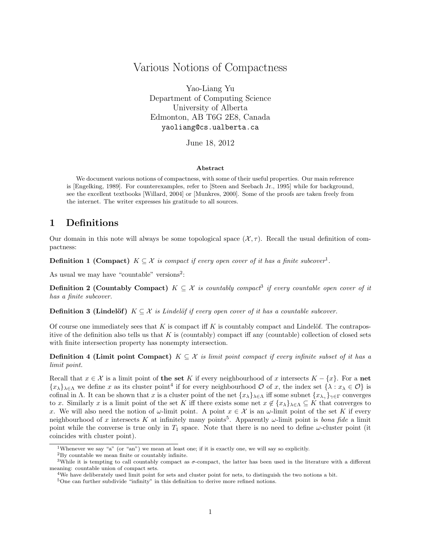# Various Notions of Compactness

Yao-Liang Yu Department of Computing Science University of Alberta Edmonton, AB T6G 2E8, Canada yaoliang@cs.ualberta.ca

June 18, 2012

#### Abstract

We document various notions of compactness, with some of their useful properties. Our main reference is [Engelking, 1989]. For counterexamples, refer to [Steen and Seebach Jr., 1995] while for background, see the excellent textbooks [Willard, 2004] or [Munkres, 2000]. Some of the proofs are taken freely from the internet. The writer expresses his gratitude to all sources.

## 1 Definitions

Our domain in this note will always be some topological space  $(\mathcal{X}, \tau)$ . Recall the usual definition of compactness:

**Definition 1 (Compact)**  $K \subseteq \mathcal{X}$  is compact if every open cover of it has a finite subcover<sup>1</sup>.

As usual we may have "countable" versions<sup>2</sup>:

**Definition 2 (Countably Compact)**  $K \subseteq \mathcal{X}$  is countably compact<sup>3</sup> if every countable open cover of it has a finite subcover.

**Definition 3 (Lindelöf)**  $K \subseteq \mathcal{X}$  is Lindelöf if every open cover of it has a countable subcover.

Of course one immediately sees that K is compact iff K is countably compact and Lindelöf. The contrapositive of the definition also tells us that  $K$  is (countably) compact iff any (countable) collection of closed sets with finite intersection property has nonempty intersection.

**Definition 4 (Limit point Compact)**  $K \subseteq \mathcal{X}$  is limit point compact if every infinite subset of it has a limit point.

Recall that  $x \in \mathcal{X}$  is a limit point of the set K if every neighbourhood of x intersects  $K - \{x\}$ . For a net  $\{x_\lambda\}_{\lambda\in\Lambda}$  we define x as its cluster point<sup>4</sup> if for every neighbourhood  $\mathcal O$  of x, the index set  $\{\lambda : x_\lambda \in \mathcal O\}$  is cofinal in Λ. It can be shown that x is a cluster point of the net  $\{x_{\lambda}\}_{\lambda\in\Lambda}$  iff some subnet  $\{x_{\lambda_{\gamma}}\}_{\gamma\in\Gamma}$  converges to x. Similarly x is a limit point of the set K iff there exists some net  $x \notin \{x_{\lambda}\}_{\lambda\in\Lambda} \subseteq K$  that converges to x. We will also need the notion of  $\omega$ -limit point. A point  $x \in \mathcal{X}$  is an  $\omega$ -limit point of the set K if every neighbourhood of x intersects K at infinitely many points<sup>5</sup>. Apparently  $\omega$ -limit point is *bona fide* a limit point while the converse is true only in  $T_1$  space. Note that there is no need to define  $\omega$ -cluster point (it coincides with cluster point).

<sup>&</sup>lt;sup>1</sup>Whenever we say "a" (or "an") we mean at least one; if it is exactly one, we will say so explicitly.

<sup>2</sup>By countable we mean finite or countably infinite.

<sup>&</sup>lt;sup>3</sup>While it is tempting to call countably compact as  $\sigma$ -compact, the latter has been used in the literature with a different meaning: countable union of compact sets.

<sup>&</sup>lt;sup>4</sup>We have deliberately used limit point for sets and cluster point for nets, to distinguish the two notions a bit.

<sup>5</sup>One can further subdivide "infinity" in this definition to derive more refined notions.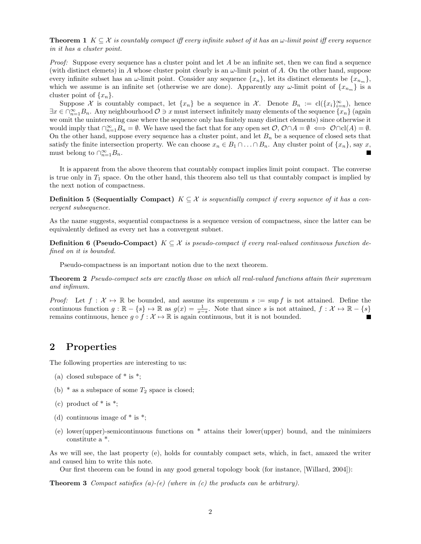**Theorem 1**  $K \subseteq \mathcal{X}$  is countably compact iff every infinite subset of it has an  $\omega$ -limit point iff every sequence in it has a cluster point.

*Proof:* Suppose every sequence has a cluster point and let  $A$  be an infinite set, then we can find a sequence (with distinct elemets) in A whose cluster point clearly is an  $\omega$ -limit point of A. On the other hand, suppose every infinite subset has an  $\omega$ -limit point. Consider any sequence  $\{x_n\}$ , let its distinct elements be  $\{x_{n_m}\}$ , which we assume is an infinite set (otherwise we are done). Apparently any  $\omega$ -limit point of  $\{x_{n_m}\}\$ is a cluster point of  $\{x_n\}$ .

Suppose X is countably compact, let  $\{x_n\}$  be a sequence in X. Denote  $B_n := cl(\{x_i\}_{i=n}^{\infty})$ , hence  $\exists x \in \bigcap_{n=1}^{\infty} B_n$ . Any neighbourhood  $\mathcal{O} \ni x$  must intersect infinitely many elements of the sequence  $\{x_n\}$  (again we omit the uninteresting case where the sequence only has finitely many distinct elements) since otherwise it would imply that  $\bigcap_{n=1}^{\infty}B_n = \emptyset$ . We have used the fact that for any open set  $\mathcal{O}, \mathcal{O} \cap A = \emptyset \iff \mathcal{O} \cap cl(A) = \emptyset$ . On the other hand, suppose every sequence has a cluster point, and let  $B_n$  be a sequence of closed sets that satisfy the finite intersection property. We can choose  $x_n \in B_1 \cap \ldots \cap B_n$ . Any cluster point of  $\{x_n\}$ , say x, must belong to  $\bigcap_{n=1}^{\infty} B_n$ .

It is apparent from the above theorem that countably compact implies limit point compact. The converse is true only in  $T_1$  space. On the other hand, this theorem also tell us that countably compact is implied by the next notion of compactness.

**Definition 5 (Sequentially Compact)**  $K \subseteq \mathcal{X}$  is sequentially compact if every sequence of it has a convergent subsequence.

As the name suggests, sequential compactness is a sequence version of compactness, since the latter can be equivalently defined as every net has a convergent subnet.

**Definition 6 (Pseudo-Compact)**  $K \subseteq \mathcal{X}$  is pseudo-compact if every real-valued continuous function defined on it is bounded.

Pseudo-compactness is an important notion due to the next theorem.

Theorem 2 Pseudo-compact sets are exactly those on which all real-valued functions attain their supremum and infimum.

Proof: Let  $f: \mathcal{X} \mapsto \mathbb{R}$  be bounded, and assume its supremum  $s := \sup f$  is not attained. Define the continuous function  $g : \mathbb{R} - \{s\} \mapsto \mathbb{R}$  as  $g(x) = \frac{1}{x-s}$ . Note that since s is not attained,  $f : \mathcal{X} \mapsto \mathbb{R} - \{s\}$ remains continuous, hence  $g \circ f : \mathcal{X} \mapsto \mathbb{R}$  is again continuous, but it is not bounded.

### 2 Properties

The following properties are interesting to us:

- (a) closed subspace of  $*$  is  $*$ ;
- (b)  $*$  as a subspace of some  $T_2$  space is closed;
- (c) product of  $*$  is  $*$ ;
- (d) continuous image of  $*$  is  $*$ ;
- (e) lower(upper)-semicontinuous functions on \* attains their lower(upper) bound, and the minimizers constitute a \*.

As we will see, the last property (e), holds for countably compact sets, which, in fact, amazed the writer and caused him to write this note.

Our first theorem can be found in any good general topology book (for instance, [Willard, 2004]):

**Theorem 3** Compact satisfies  $(a)-(e)$  (where in  $(c)$  the products can be arbitrary).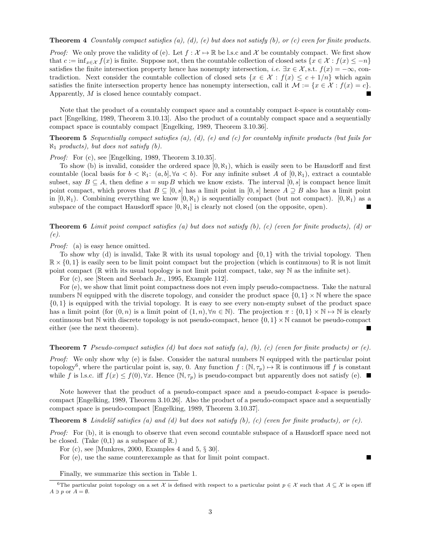#### **Theorem 4** Countably compact satisfies  $(a)$ ,  $(d)$ ,  $(e)$  but does not satisfy  $(b)$ , or  $(c)$  even for finite products.

*Proof:* We only prove the validity of (e). Let  $f : \mathcal{X} \to \mathbb{R}$  be l.s.c and X be countably compact. We first show that  $c := \inf_{x \in \mathcal{X}} f(x)$  is finite. Suppose not, then the countable collection of closed sets  $\{x \in \mathcal{X} : f(x) \leq -n\}$ satisfies the finite intersection property hence has nonempty intersection, *i.e.*  $\exists x \in \mathcal{X}$ , s.t.  $f(x) = -\infty$ , contradiction. Next consider the countable collection of closed sets  $\{x \in \mathcal{X} : f(x) \leq c + 1/n\}$  which again satisfies the finite intersection property hence has nonempty intersection, call it  $\mathcal{M} := \{x \in \mathcal{X} : f(x) = c\}.$ Apparently, M is closed hence countably compact. П

Note that the product of a countably compact space and a countably compact  $k$ -space is countably compact [Engelking, 1989, Theorem 3.10.13]. Also the product of a countably compact space and a sequentially compact space is countably compact [Engelking, 1989, Theorem 3.10.36].

**Theorem 5** Sequentially compact satisfies  $(a)$ ,  $(d)$ ,  $(e)$  and  $(c)$  for countably infinite products (but fails for  $\aleph_1$  products), but does not satisfy (b).

Proof: For (c), see [Engelking, 1989, Theorem 3.10.35].

To show (b) is invalid, consider the ordered space  $[0, \aleph_1)$ , which is easily seen to be Hausdorff and first countable (local basis for  $b < \aleph_1$ :  $(a, b], \forall a < b$ ). For any infinite subset A of  $[0, \aleph_1)$ , extract a countable subset, say  $B \subseteq A$ , then define  $s = \sup B$  which we know exists. The interval [0, s] is compact hence limit point compact, which proves that  $B \subseteq [0, s]$  has a limit point in  $[0, s]$  hence  $A \supseteq B$  also has a limit point in  $[0, \aleph_1)$ . Combining everything we know  $[0, \aleph_1)$  is sequentially compact (but not compact).  $[0, \aleph_1)$  as a subspace of the compact Hausdorff space  $[0, \aleph_1]$  is clearly not closed (on the opposite, open).

**Theorem 6** Limit point compact satisfies (a) but does not satisfy  $(b)$ ,  $(c)$  (even for finite products), (d) or (e).

Proof: (a) is easy hence omitted.

To show why (d) is invalid, Take  $\mathbb R$  with its usual topology and  $\{0,1\}$  with the trivial topology. Then  $\mathbb{R} \times \{0,1\}$  is easily seen to be limit point compact but the projection (which is continuous) to  $\mathbb{R}$  is not limit point compact ( $\mathbb R$  with its usual topology is not limit point compact, take, say  $\mathbb N$  as the infinite set).

For (c), see [Steen and Seebach Jr., 1995, Example 112].

For (e), we show that limit point compactness does not even imply pseudo-compactness. Take the natural numbers N equipped with the discrete topology, and consider the product space  $\{0, 1\} \times \mathbb{N}$  where the space  $\{0, 1\}$  is equipped with the trivial topology. It is easy to see every non-empty subset of the product space has a limit point (for  $(0, n)$  is a limit point of  $(1, n)$ ,  $\forall n \in \mathbb{N}$ ). The projection  $\pi : \{0, 1\} \times \mathbb{N} \to \mathbb{N}$  is clearly continuous but N with discrete topology is not pseudo-compact, hence  $\{0, 1\} \times \mathbb{N}$  cannot be pseudo-compact either (see the next theorem).

**Theorem 7** Pseudo-compact satisfies (d) but does not satisfy (a), (b), (c) (even for finite products) or (e).

Proof: We only show why (e) is false. Consider the natural numbers N equipped with the particular point topology<sup>6</sup>, where the particular point is, say, 0. Any function  $f : (\mathbb{N}, \tau_p) \mapsto \mathbb{R}$  is continuous iff f is constant while f is l.s.c. iff  $f(x) \leq f(0), \forall x$ . Hence  $(\mathbb{N}, \tau_p)$  is pseudo-compact but apparently does not satisfy (e).

Note however that the product of a pseudo-compact space and a pseudo-compact  $k$ -space is pseudocompact [Engelking, 1989, Theorem 3.10.26]. Also the product of a pseudo-compact space and a sequentially compact space is pseudo-compact [Engelking, 1989, Theorem 3.10.37].

**Theorem 8** Lindelöf satisfies (a) and (d) but does not satisfy (b), (c) (even for finite products), or (e).

Proof: For (b), it is enough to observe that even second countable subspace of a Hausdorff space need not be closed. (Take  $(0,1)$  as a subspace of  $\mathbb{R}$ .)

 $\blacksquare$ 

For (c), see [Munkres, 2000, Examples 4 and 5, § 30].

For (e), use the same counterexample as that for limit point compact.

Finally, we summarize this section in Table 1.

<sup>&</sup>lt;sup>6</sup>The particular point topology on a set X is defined with respect to a particular point  $p \in \mathcal{X}$  such that  $A \subseteq \mathcal{X}$  is open iff  $A \ni p$  or  $A = \emptyset$ .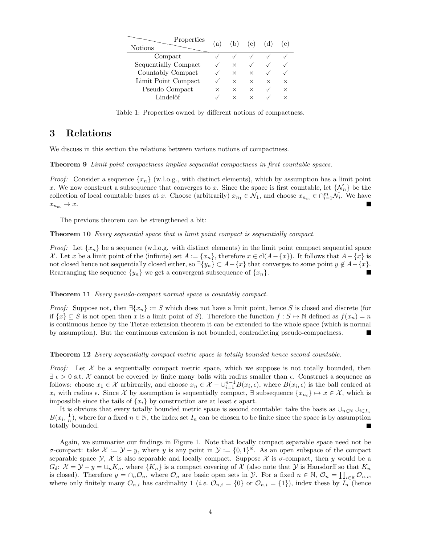| Properties<br><b>Notions</b> | l a | (b)      | (c)      |   | e l |
|------------------------------|-----|----------|----------|---|-----|
| Compact                      |     |          |          |   |     |
| Sequentially Compact         |     | ×        |          |   |     |
| Countably Compact            |     | ×        | ×        |   |     |
| Limit Point Compact          |     | ×        | ×        | × |     |
| Pseudo Compact               | ×   | ×        | ×        |   |     |
| Lindelöf                     |     | $\times$ | $\times$ |   |     |
|                              |     |          |          |   |     |

Table 1: Properties owned by different notions of compactness.

## 3 Relations

We discuss in this section the relations between various notions of compactness.

Theorem 9 Limit point compactness implies sequential compactness in first countable spaces.

*Proof:* Consider a sequence  $\{x_n\}$  (w.l.o.g., with distinct elements), which by assumption has a limit point x. We now construct a subsequence that converges to x. Since the space is first countable, let  $\{\mathcal{N}_n\}$  be the collection of local countable bases at x. Choose (arbitrarily)  $x_{n_1} \in \mathcal{N}_1$ , and choose  $x_{n_m} \in \bigcap_{i=1}^m \mathcal{N}_i$ . We have  $x_{n_m} \rightarrow x.$ 

The previous theorem can be strengthened a bit:

Theorem 10 Every sequential space that is limit point compact is sequentially compact.

*Proof:* Let  $\{x_n\}$  be a sequence (w.l.o.g. with distinct elements) in the limit point compact sequential space X. Let x be a limit point of the (infinite) set  $A := \{x_n\}$ , therefore  $x \in cl(A - \{x\})$ . It follows that  $A - \{x\}$  is not closed hence not sequentially closed either, so  $\exists \{y_n\} \subset A-\{x\}$  that converges to some point  $y \notin A-\{x\}$ . Rearranging the sequence  $\{y_n\}$  we get a convergent subsequence of  $\{x_n\}$ . П

#### Theorem 11 Every pseudo-compact normal space is countably compact.

*Proof:* Suppose not, then  $\exists \{x_n\} := S$  which does not have a limit point, hence S is closed and discrete (for if  $\{x\} \subseteq S$  is not open then x is a limit point of S). Therefore the function  $f : S \mapsto \mathbb{N}$  defined as  $f(x_n) = n$ is continuous hence by the Tietze extension theorem it can be extended to the whole space (which is normal by assumption). But the continuous extension is not bounded, contradicting pseudo-compactness. п

**Theorem 12** Every sequentially compact metric space is totally bounded hence second countable.

*Proof:* Let  $\mathcal X$  be a sequentially compact metric space, which we suppose is not totally bounded, then  $\exists \epsilon > 0$  s.t. X cannot be covered by finite many balls with radius smaller than  $\epsilon$ . Construct a sequence as follows: choose  $x_1 \in \mathcal{X}$  arbirrarily, and choose  $x_n \in \mathcal{X} - \bigcup_{i=1}^{n-1} B(x_i, \epsilon)$ , where  $B(x_i, \epsilon)$  is the ball centred at x<sub>i</sub> with radius  $\epsilon$ . Since X by assumption is sequentially compact,  $\exists$  subsequence  $\{x_{n_i}\}\mapsto x \in \mathcal{X}$ , which is impossible since the tails of  $\{x_i\}$  by construction are at least  $\epsilon$  apart.

It is obvious that every totally bounded metric space is second countable: take the basis as  $\cup_{n\in\mathbb{N}}\cup_{i\in I_n}$  $B(x_i, \frac{1}{n})$ , where for a fixed  $n \in \mathbb{N}$ , the index set  $I_n$  can be chosen to be finite since the space is by assumption totally bounded.

Again, we summarize our findings in Figure 1. Note that locally compact separable space need not be  $\sigma$ -compact: take  $\mathcal{X} := \mathcal{Y} - y$ , where y is any point in  $\mathcal{Y} := \{0,1\}^{\mathbb{R}}$ . As an open subspace of the compact separable space  $\mathcal{Y}, \mathcal{X}$  is also separable and locally compact. Suppose  $\mathcal{X}$  is  $\sigma$ -compact, then y would be a  $G_{\delta}: \mathcal{X} = \mathcal{Y} - y = \cup_{n} K_n$ , where  $\{K_n\}$  is a compact covering of X (also note that Y is Hausdorff so that  $K_n$ is closed). Therefore  $y = \cap_n \mathcal{O}_n$ , where  $\mathcal{O}_n$  are basic open sets in  $\mathcal{Y}$ . For a fixed  $n \in \mathbb{N}$ ,  $\mathcal{O}_n = \prod_{i \in \mathbb{R}} \mathcal{O}_{n,i}$ , where only finitely many  $\mathcal{O}_{n,i}$  has cardinality 1 (*i.e.*  $\mathcal{O}_{n,i} = \{0\}$  or  $\mathcal{O}_{n,i} = \{1\}$ ), index these by  $I_n$  (hence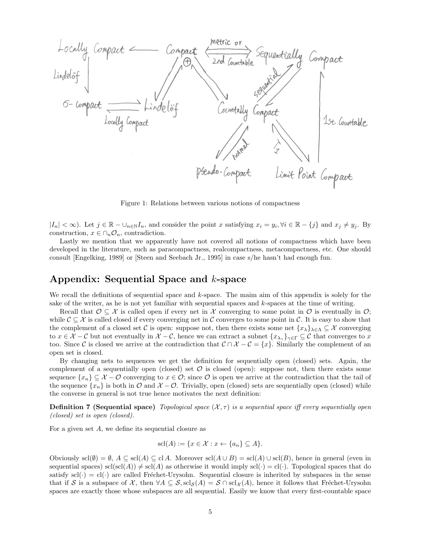

Figure 1: Relations between various notions of compactness

 $|I_n| < \infty$ ). Let  $j \in \mathbb{R} - \bigcup_{n \in \mathbb{N}} I_n$ , and consider the point x satisfying  $x_i = y_i, \forall i \in \mathbb{R} - \{j\}$  and  $x_j \neq y_j$ . By construction,  $x \in \bigcap_n \mathcal{O}_n$ , contradiction.

Lastly we mention that we apparently have not covered all notions of compactness which have been developed in the literature, such as paracompactness, realcompactness, metacompactness, etc. One should consult [Engelking, 1989] or [Steen and Seebach Jr., 1995] in case s/he hasn't had enough fun.

## Appendix: Sequential Space and k-space

We recall the definitions of sequential space and k-space. The maim aim of this appendix is solely for the sake of the writer, as he is not yet familiar with sequential spaces and k-spaces at the time of writing.

Recall that  $\mathcal{O} \subset \mathcal{X}$  is called open if every net in X converging to some point in  $\mathcal{O}$  is eventually in  $\mathcal{O}$ ; while  $\mathcal{C} \subseteq \mathcal{X}$  is called closed if every converging net in C converges to some point in C. It is easy to show that the complement of a closed set C is open: suppose not, then there exists some net  $\{x_{\lambda}\}_{\lambda\in\Lambda}\subseteq\mathcal{X}$  converging to  $x \in \mathcal{X} - \mathcal{C}$  but not eventually in  $\mathcal{X} - \mathcal{C}$ , hence we can extract a subnet  $\{x_{\lambda_{\gamma}}\}_{\gamma \in \Gamma} \subseteq \mathcal{C}$  that converges to x too. Since C is closed we arrive at the contradiction that  $C \cap X - C = \{x\}$ . Similarly the complement of an open set is closed.

By changing nets to sequences we get the definition for sequentially open (closed) sets. Again, the complement of a sequentially open (closed) set  $\mathcal O$  is closed (open): suppose not, then there exists some sequence  $\{x_n\} \subseteq \mathcal{X} - \mathcal{O}$  converging to  $x \in \mathcal{O}$ ; since  $\mathcal{O}$  is open we arrive at the contradiction that the tail of the sequence  $\{x_n\}$  is both in  $\mathcal{O}$  and  $\mathcal{X}-\mathcal{O}$ . Trivially, open (closed) sets are sequentially open (closed) while the converse in general is not true hence motivates the next definition:

**Definition 7 (Sequential space)** Topological space  $(\mathcal{X}, \tau)$  is a sequential space iff every sequentially open (closed) set is open (closed).

For a given set A, we define its sequential closure as

$$
scl(A) := \{ x \in \mathcal{X} : x \leftarrow \{ a_n \} \subseteq A \}.
$$

Obviously  $\text{scl}(\emptyset) = \emptyset$ ,  $A \subseteq \text{scl}(A) \subseteq \text{cl } A$ . Moreover  $\text{scl}(A \cup B) = \text{scl}(A) \cup \text{scl}(B)$ , hence in general (even in sequential spaces)  $\text{scl}(\text{scl}(A)) \neq \text{scl}(A)$  as otherwise it would imply  $\text{scl}(\cdot) = \text{cl}(\cdot)$ . Topological spaces that do satisfy  $\text{scl}(\cdot) = \text{cl}(\cdot)$  are called Fréchet-Urysohn. Sequential closure is inherited by subspaces in the sense that if S is a subspace of X, then  $\forall A \subseteq S$ ,  $\text{scl}_S(A) = S \cap \text{scl}_\mathcal{X}(A)$ , hence it follows that Fréchet-Urysohn spaces are exactly those whose subspaces are all sequential. Easily we know that every first-countable space